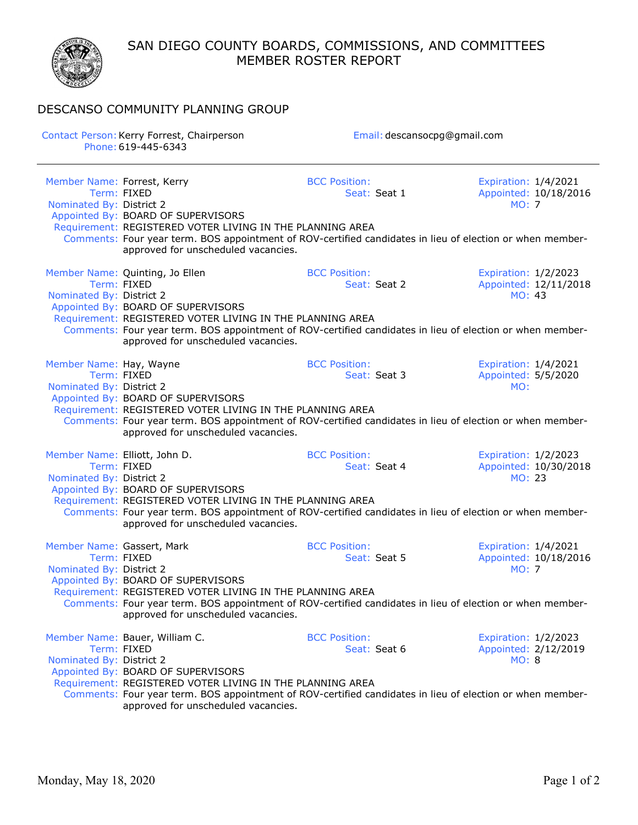SAN DIEGO COUNTY BOARDS, COMMISSIONS, AND COMMITTEES MEMBER ROSTER REPORT



## DESCANSO COMMUNITY PLANNING GROUP

Contact Person: Kerry Forrest, Chairperson **Email: descansocpg@gmail.com** Phone:619-445-6343 Member Name: Forrest, Kerry **BCC Position:** BCC Position: Expiration: 1/4/2021 Term: FIXED Seat: Seat 1 Appointed: 10/18/2016 Nominated By: District 2 Appointed By: BOARD OF SUPERVISORS Requirement: REGISTERED VOTER LIVING IN THE PLANNING AREA Comments: Four year term. BOS appointment of ROV-certified candidates in lieu of election or when memberapproved for unscheduled vacancies. Member Name: Quinting, Jo Ellen BCC Position: Expiration: 1/2/2023 Term: FIXED Seat: Seat: Seat 2 Appointed: 12/11/2018 Nominated By: District 2 MO: 43 Appointed By: BOARD OF SUPERVISORS Requirement: REGISTERED VOTER LIVING IN THE PLANNING AREA Comments: Four year term. BOS appointment of ROV-certified candidates in lieu of election or when memberapproved for unscheduled vacancies. Member Name: Hay, Wayne **BCC Position:** BCC Position: Expiration: 1/4/2021<br>Term: FIXED **BEC Position:** Seat: Seat 3 Appointed: 5/5/2020 Seat: Seat 3 Appointed: 5/5/2020 Nominated By: District 2 MO: Appointed By: BOARD OF SUPERVISORS Requirement: REGISTERED VOTER LIVING IN THE PLANNING AREA Comments: Four year term. BOS appointment of ROV-certified candidates in lieu of election or when memberapproved for unscheduled vacancies. Member Name: Elliott, John D. Same BCC Position: Expiration: 1/2/2023 Term: FIXED Seat: Seat 4 Appointed: 10/30/2018 Nominated By: District 2 Appointed By: BOARD OF SUPERVISORS Requirement: REGISTERED VOTER LIVING IN THE PLANNING AREA Comments: Four year term. BOS appointment of ROV-certified candidates in lieu of election or when memberapproved for unscheduled vacancies. Member Name: Gassert, Mark and BCC Position: Expiration: 1/4/2021 Term: FIXED Seat: Seat: Seat 5 Appointed: 10/18/2016 Nominated By: District 2 MO: 7 MO: 7 MO: 7 MO: 7 MO: 7 MO: 7 MO: 7 MO: 7 MO: 7 MO: 7 MO: 7 MO: 7 MO: 7 MO: 7 MO: 7 MO: 7 MO: 7 MO: 7 MO: 7 MO: 7 MO: 7 MO: 7 MO: 7 MO: 7 MO: 7 MO: 7 MO: 7 MO: 7 MO: 7 MO: 7 MO: 7 MO: 7 MO: 7 Appointed By: BOARD OF SUPERVISORS Requirement: REGISTERED VOTER LIVING IN THE PLANNING AREA Comments: Four year term. BOS appointment of ROV-certified candidates in lieu of election or when memberapproved for unscheduled vacancies. Member Name: Bauer, William C. BCC Position: Expiration: 1/2/2023 Term: FIXED Seat: Seat: Seat 6 Appointed: 2/12/2019 Nominated By: District 2 MO: 8 Appointed By: BOARD OF SUPERVISORS Requirement: REGISTERED VOTER LIVING IN THE PLANNING AREA Comments: Four year term. BOS appointment of ROV-certified candidates in lieu of election or when memberapproved for unscheduled vacancies.